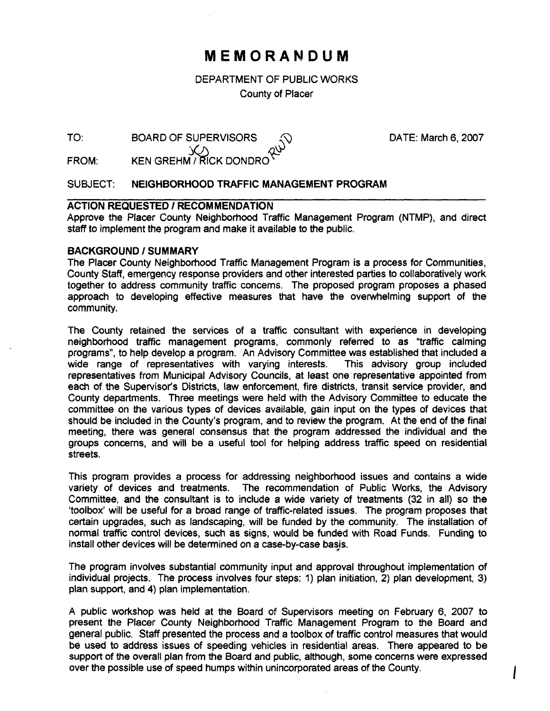# **MEMORANDUM**

DEPARTMENT OF PUBLIC WORKS County of Placer

| TO: | <b>BOARD OF SUPERVISORS</b> |        | DATE: March 6, 2007 |
|-----|-----------------------------|--------|---------------------|
|     |                             | $\sim$ |                     |

KEN GREHM / RICK DONDRO FROM:

## SUBJECT: **NEIGHBORHOOD TRAFFIC MANAGEMENT PROGRAM**

## **ACTION REQUESTED I RECOMMENDATION**

Approve the Placer County Neighborhood Traffic Management Program (NTMP), and direct staff to implement the program and make it available to the public.

### **BACKGROUND / SUMMARY**

The Placer County Neighborhood Traffic Management Program is a process for Communities, County Staff, emergency response providers and other interested parties to collaboratively work together to address community traffic concerns. The proposed program proposes a phased approach to developing effective measures that have the overwhelming support of the community.

The County retained the services of a traffic consultant with experience in developing neighborhood traffic management programs, commonly referred to as "traffic calming programs", to help develop a program. An Advisory Committee was established that included a wide range of representatives with varying interests. This advisory group included representatives from Municipal Advisory Councils, at least one representative appointed from each of the Supervisor's Districts, law enforcement, fire districts, transit service provider, and County departments. Three meetings were held with the Advisory Committee to educate the committee on the various types of devices available, gain input on the types of devices that should be included in the County's program, and to review the program. At the end of the final meeting, there was general consensus that the program addressed the individual and the groups concerns, and will be a useful tool for helping address traffic speed on residential streets.

This program provides a process for addressing neighborhood issues and contains a wide variety of devices and treatments. The recommendation of Public Works, the Advisory Committee, and the consultant is to include a wide variety of treatments (32 in all) so the 'toolbox' will be useful for a broad range of traffic-related issues. The program proposes that certain upgrades, such as landscaping, will be funded by the community. The installation of normal traffic control devices, such as signs, would be funded with Road Funds. Funding to install other devices will be determined on a case-by-case basis.

The program involves substantial community input and approval throughout implementation of individual projects. The process involves four steps: 1) plan initiation, 2) plan development, 3) plan support, and 4) plan implementation.

A public workshop was held at the Board of Supervisors meeting on February 6, 2007 to present the Placer County Neighborhood Traffic Management Program to the Board and general public. Staff presented the process and a toolbox of traffic control measures that would be used to address issues of speeding vehicles in residential areas. There appeared to be support of the overall plan from the Board and public, although, some concerns were expressed over the possible use of speed humps within unincorporated areas of the County.